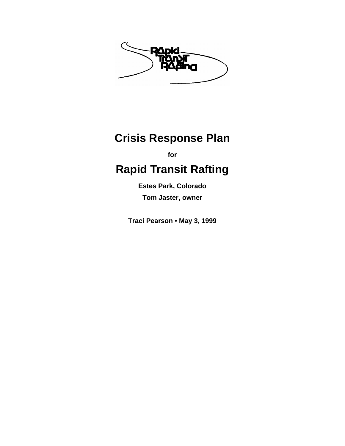

# **Crisis Response Plan**

**for** 

# **Rapid Transit Rafting**

**Estes Park, Colorado Tom Jaster, owner** 

**Traci Pearson • May 3, 1999**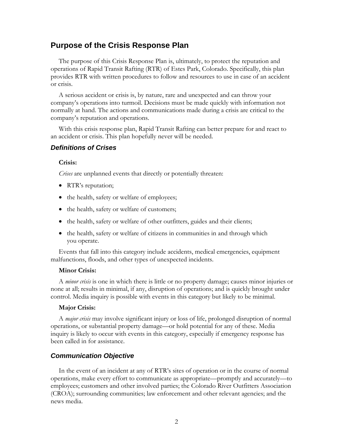### **Purpose of the Crisis Response Plan**

The purpose of this Crisis Response Plan is, ultimately, to protect the reputation and operations of Rapid Transit Rafting (RTR) of Estes Park, Colorado. Specifically, this plan provides RTR with written procedures to follow and resources to use in case of an accident or crisis.

A serious accident or crisis is, by nature, rare and unexpected and can throw your company's operations into turmoil. Decisions must be made quickly with information not normally at hand. The actions and communications made during a crisis are critical to the company's reputation and operations.

With this crisis response plan, Rapid Transit Rafting can better prepare for and react to an accident or crisis. This plan hopefully never will be needed.

#### *Definitions of Crises*

#### **Crisis:**

*Crises* are unplanned events that directly or potentially threaten:

- RTR's reputation;
- the health, safety or welfare of employees;
- the health, safety or welfare of customers;
- the health, safety or welfare of other outfitters, guides and their clients;
- the health, safety or welfare of citizens in communities in and through which you operate.

Events that fall into this category include accidents, medical emergencies, equipment malfunctions, floods, and other types of unexpected incidents.

#### **Minor Crisis:**

A *minor crisis* is one in which there is little or no property damage; causes minor injuries or none at all; results in minimal, if any, disruption of operations; and is quickly brought under control. Media inquiry is possible with events in this category but likely to be minimal.

#### **Major Crisis:**

A *major crisis* may involve significant injury or loss of life, prolonged disruption of normal operations, or substantial property damage—or hold potential for any of these. Media inquiry is likely to occur with events in this category, especially if emergency response has been called in for assistance.

### *Communication Objective*

In the event of an incident at any of RTR's sites of operation or in the course of normal operations, make every effort to communicate as appropriate—promptly and accurately—to employees; customers and other involved parties; the Colorado River Outfitters Association (CROA); surrounding communities; law enforcement and other relevant agencies; and the news media.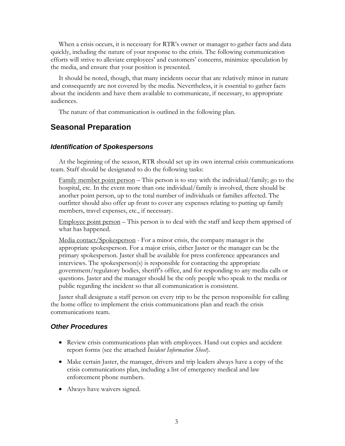When a crisis occurs, it is necessary for RTR's owner or manager to gather facts and data quickly, including the nature of your response to the crisis. The following communication efforts will strive to alleviate employees' and customers' concerns, minimize speculation by the media, and ensure that your position is presented.

It should be noted, though, that many incidents occur that are relatively minor in nature and consequently are not covered by the media. Nevertheless, it is essential to gather facts about the incidents and have them available to communicate, if necessary, to appropriate audiences.

The nature of that communication is outlined in the following plan.

### **Seasonal Preparation**

### *Identification of Spokespersons*

At the beginning of the season, RTR should set up its own internal crisis communications team. Staff should be designated to do the following tasks:

Family member point person – This person is to stay with the individual/family; go to the hospital, etc. In the event more than one individual/family is involved, there should be another point person, up to the total number of individuals or families affected. The outfitter should also offer up front to cover any expenses relating to putting up family members, travel expenses, etc., if necessary.

Employee point person – This person is to deal with the staff and keep them apprised of what has happened.

Media contact/Spokesperson - For a minor crisis, the company manager is the appropriate spokesperson. For a major crisis, either Jaster or the manager can be the primary spokesperson. Jaster shall be available for press conference appearances and interviews. The spokesperson(s) is responsible for contacting the appropriate government/regulatory bodies, sheriff's office, and for responding to any media calls or questions. Jaster and the manager should be the only people who speak to the media or public regarding the incident so that all communication is consistent.

Jaster shall designate a staff person on every trip to be the person responsible for calling the home office to implement the crisis communications plan and reach the crisis communications team.

#### *Other Procedures*

- Review crisis communications plan with employees. Hand out copies and accident report forms (see the attached *Incident Information Sheet*).
- Make certain Jaster, the manager, drivers and trip leaders always have a copy of the crisis communications plan, including a list of emergency medical and law enforcement phone numbers.
- Always have waivers signed.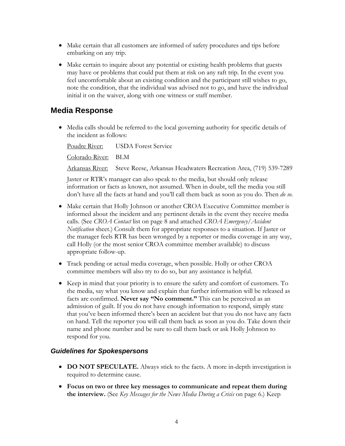- Make certain that all customers are informed of safety procedures and tips before embarking on any trip.
- Make certain to inquire about any potential or existing health problems that guests may have or problems that could put them at risk on any raft trip. In the event you feel uncomfortable about an existing condition and the participant still wishes to go, note the condition, that the individual was advised not to go, and have the individual initial it on the waiver, along with one witness or staff member.

### **Media Response**

• Media calls should be referred to the local governing authority for specific details of the incident as follows:

Poudre River: USDA Forest Service Colorado River: BLM

Arkansas River: Steve Reese, Arkansas Headwaters Recreation Area, (719) 539-7289

Jaster or RTR's manager can also speak to the media, but should only release information or facts as known, not assumed. When in doubt, tell the media you still don't have all the facts at hand and you'll call them back as soon as you do. Then *do so*.

- Make certain that Holly Johnson or another CROA Executive Committee member is informed about the incident and any pertinent details in the event they receive media calls. (See *CROA Contact* list on page [8](#page-7-0) and attached *CROA Emergency/Accident Notification* sheet.) Consult them for appropriate responses to a situation. If Jaster or the manager feels RTR has been wronged by a reporter or media coverage in any way, call Holly (or the most senior CROA committee member available) to discuss appropriate follow-up.
- Track pending or actual media coverage, when possible. Holly or other CROA committee members will also try to do so, but any assistance is helpful.
- Keep in mind that your priority is to ensure the safety and comfort of customers. To the media, say what you know and explain that further information will be released as facts are confirmed. **Never say "No comment."** This can be perceived as an admission of guilt. If you do not have enough information to respond, simply state that you've been informed there's been an accident but that you do not have any facts on hand. Tell the reporter you will call them back as soon as you do. Take down their name and phone number and be sure to call them back or ask Holly Johnson to respond for you.

### *Guidelines for Spokespersons*

- **DO NOT SPECULATE.** Always stick to the facts. A more in-depth investigation is required to determine cause.
- **Focus on two or three key messages to communicate and repeat them during the interview.** (See *[Key Messages for the News Media During a Crisis](#page-5-0)* on page [6.](#page-5-0)) Keep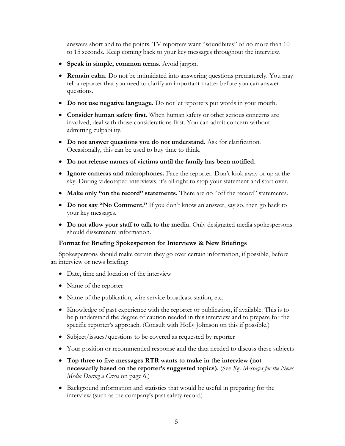answers short and to the points. TV reporters want "soundbites" of no more than 10 to 15 seconds. Keep coming back to your key messages throughout the interview.

- **Speak in simple, common terms.** Avoid jargon.
- **Remain calm.** Do not be intimidated into answering questions prematurely. You may tell a reporter that you need to clarify an important matter before you can answer questions.
- **Do not use negative language.** Do not let reporters put words in your mouth.
- **Consider human safety first.** When human safety or other serious concerns are involved, deal with those considerations first. You can admit concern without admitting culpability.
- **Do not answer questions you do not understand.** Ask for clarification. Occasionally, this can be used to buy time to think.
- **Do not release names of victims until the family has been notified.**
- **Ignore cameras and microphones.** Face the reporter. Don't look away or up at the sky. During videotaped interviews, it's all right to stop your statement and start over.
- **Make only "on the record" statements.** There are no "off the record" statements.
- **Do not say "No Comment."** If you don't know an answer, say so, then go back to your key messages.
- **Do not allow your staff to talk to the media.** Only designated media spokespersons should disseminate information.

### **Format for Briefing Spokesperson for Interviews & New Briefings**

Spokespersons should make certain they go over certain information, if possible, before an interview or news briefing:

- Date, time and location of the interview
- Name of the reporter
- Name of the publication, wire service broadcast station, etc.
- Knowledge of past experience with the reporter or publication, if available. This is to help understand the degree of caution needed in this interview and to prepare for the specific reporter's approach. (Consult with Holly Johnson on this if possible.)
- Subject/issues/questions to be covered as requested by reporter
- Your position or recommended response and the data needed to discuss these subjects
- **Top three to five messages RTR wants to make in the interview (not necessarily based on the reporter's suggested topics).** (See *[Key Messages for the News](#page-5-0)  [Media During a Crisis](#page-5-0)* on page [6.](#page-5-0))
- Background information and statistics that would be useful in preparing for the interview (such as the company's past safety record)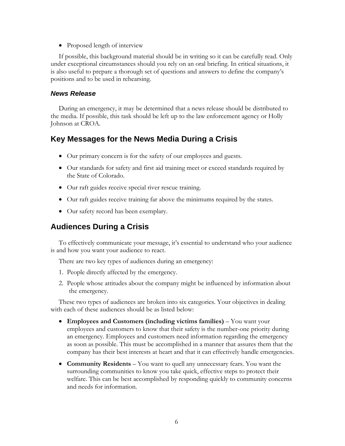• Proposed length of interview

If possible, this background material should be in writing so it can be carefully read. Only under exceptional circumstances should you rely on an oral briefing. In critical situations, it is also useful to prepare a thorough set of questions and answers to define the company's positions and to be used in rehearsing.

### *News Release*

During an emergency, it may be determined that a news release should be distributed to the media. If possible, this task should be left up to the law enforcement agency or Holly Johnson at CROA.

### <span id="page-5-0"></span>**Key Messages for the News Media During a Crisis**

- Our primary concern is for the safety of our employees and guests.
- Our standards for safety and first aid training meet or exceed standards required by the State of Colorado.
- Our raft guides receive special river rescue training.
- Our raft guides receive training far above the minimums required by the states.
- Our safety record has been exemplary.

### **Audiences During a Crisis**

To effectively communicate your message, it's essential to understand who your audience is and how you want your audience to react.

There are two key types of audiences during an emergency:

- 1. People directly affected by the emergency.
- 2. People whose attitudes about the company might be influenced by information about the emergency.

These two types of audiences are broken into six categories. Your objectives in dealing with each of these audiences should be as listed below:

- **Employees and Customers (including victims families)**  You want your employees and customers to know that their safety is the number-one priority during an emergency. Employees and customers need information regarding the emergency as soon as possible. This must be accomplished in a manner that assures them that the company has their best interests at heart and that it can effectively handle emergencies.
- **Community Residents** You want to quell any unnecessary fears. You want the surrounding communities to know you take quick, effective steps to protect their welfare. This can be best accomplished by responding quickly to community concerns and needs for information.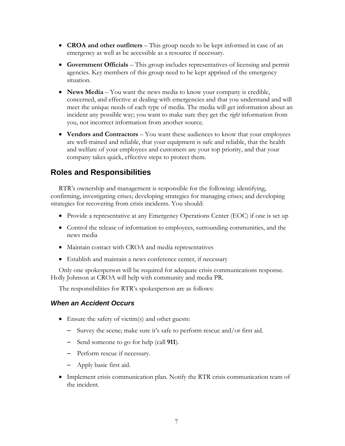- **CROA and other outfitters** This group needs to be kept informed in case of an emergency as well as be accessible as a resource if necessary.
- **Government Officials** This group includes representatives of licensing and permit agencies. Key members of this group need to be kept apprised of the emergency situation.
- **News Media** You want the news media to know your company is credible, concerned, and effective at dealing with emergencies and that you understand and will meet the unique needs of each type of media. The media will get information about an incident any possible way; you want to make sure they get the *right* information from you, not incorrect information from another source.
- **Vendors and Contractors** You want these audiences to know that your employees are well-trained and reliable, that your equipment is safe and reliable, that the health and welfare of your employees and customers are your top priority, and that your company takes quick, effective steps to protect them.

### **Roles and Responsibilities**

RTR's ownership and management is responsible for the following: identifying, confirming, investigating crises; developing strategies for managing crises; and developing strategies for recovering from crisis incidents. You should:

- Provide a representative at any Emergency Operations Center (EOC) if one is set up
- Control the release of information to employees, surrounding communities, and the news media
- Maintain contact with CROA and media representatives
- Establish and maintain a news conference center, if necessary

Only one spokesperson will be required for adequate crisis communications response. Holly Johnson at CROA will help with community and media PR.

The responsibilities for RTR's spokesperson are as follows:

### *When an Accident Occurs*

- Ensure the safety of victim(s) and other guests:
	- Survey the scene; make sure it's safe to perform rescue and/or first aid.
	- Send someone to go for help (call **911**).
	- Perform rescue if necessary.
	- Apply basic first aid.
- Implement crisis communication plan. Notify the RTR crisis communication team of the incident.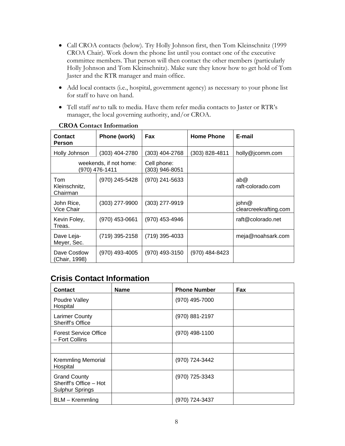- Call CROA contacts (below). Try Holly Johnson first, then Tom Kleinschnitz (1999 CROA Chair). Work down the phone list until you contact one of the executive committee members. That person will then contact the other members (particularly Holly Johnson and Tom Kleinschnitz). Make sure they know how to get hold of Tom Jaster and the RTR manager and main office.
- Add local contacts (i.e., hospital, government agency) as necessary to your phone list for staff to have on hand.
- Tell staff *not* to talk to media. Have them refer media contacts to Jaster or RTR's manager, the local governing authority, and/or CROA.

<span id="page-7-0"></span>

| Contact<br><b>Person</b>         | Phone (work)                             | <b>Fax</b>                    | <b>Home Phone</b> | E-mail                         |
|----------------------------------|------------------------------------------|-------------------------------|-------------------|--------------------------------|
| Holly Johnson                    | (303) 404-2780                           | (303) 404-2768                | (303) 828-4811    | holly@jcomm.com                |
|                                  | weekends, if not home:<br>(970) 476-1411 | Cell phone:<br>(303) 946-8051 |                   |                                |
| Tom<br>Kleinschnitz,<br>Chairman | (970) 245-5428                           | (970) 241-5633                |                   | ab@<br>raft-colorado.com       |
| John Rice,<br><b>Vice Chair</b>  | (303) 277-9900                           | (303) 277-9919                |                   | john@<br>clearcreekrafting.com |
| Kevin Foley,<br>Treas.           | (970) 453-0661                           | (970) 453-4946                |                   | raft@colorado.net              |
| Dave Leja-<br>Meyer, Sec.        | (719) 395-2158                           | (719) 395-4033                |                   | meja@noahsark.com              |
| Dave Costlow<br>(Chair, 1998)    | (970) 493-4005                           | (970) 493-3150                | (970) 484-8423    |                                |

### **CROA Contact Information**

### **Crisis Contact Information**

| <b>Contact</b>                                                          | <b>Name</b> | <b>Phone Number</b> | Fax |
|-------------------------------------------------------------------------|-------------|---------------------|-----|
| Poudre Valley<br>Hospital                                               |             | (970) 495-7000      |     |
| <b>Larimer County</b><br>Sheriff's Office                               |             | (970) 881-2197      |     |
| <b>Forest Service Office</b><br>- Fort Collins                          |             | (970) 498-1100      |     |
|                                                                         |             |                     |     |
| <b>Kremmling Memorial</b><br>Hospital                                   |             | (970) 724-3442      |     |
| <b>Grand County</b><br>Sheriff's Office - Hot<br><b>Sulphur Springs</b> |             | (970) 725-3343      |     |
| BLM - Kremmling                                                         |             | (970) 724-3437      |     |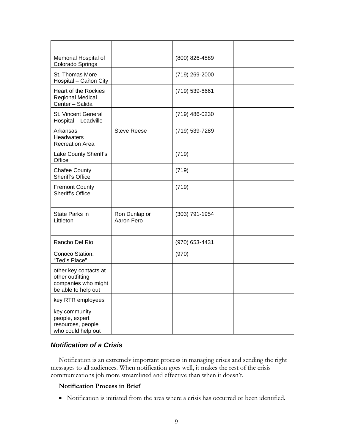| Memorial Hospital of<br>Colorado Springs                                                |                             | (800) 826-4889     |  |
|-----------------------------------------------------------------------------------------|-----------------------------|--------------------|--|
| St. Thomas More<br>Hospital - Cañon City                                                |                             | (719) 269-2000     |  |
| Heart of the Rockies<br><b>Regional Medical</b><br>Center - Salida                      |                             | $(719) 539 - 6661$ |  |
| St. Vincent General<br>Hospital - Leadville                                             |                             | (719) 486-0230     |  |
| Arkansas<br><b>Headwaters</b><br><b>Recreation Area</b>                                 | <b>Steve Reese</b>          | (719) 539-7289     |  |
| Lake County Sheriff's<br>Office                                                         |                             | (719)              |  |
| <b>Chafee County</b><br>Sheriff's Office                                                |                             | (719)              |  |
| <b>Fremont County</b><br>Sheriff's Office                                               |                             | (719)              |  |
|                                                                                         |                             |                    |  |
| State Parks in<br>Littleton                                                             | Ron Dunlap or<br>Aaron Fero | (303) 791-1954     |  |
|                                                                                         |                             |                    |  |
| Rancho Del Rio                                                                          |                             | (970) 653-4431     |  |
| Conoco Station:<br>"Ted's Place"                                                        |                             | (970)              |  |
| other key contacts at<br>other outfitting<br>companies who might<br>be able to help out |                             |                    |  |
| key RTR employees                                                                       |                             |                    |  |
| key community<br>people, expert<br>resources, people<br>who could help out              |                             |                    |  |

### *Notification of a Crisis*

Notification is an extremely important process in managing crises and sending the right messages to all audiences. When notification goes well, it makes the rest of the crisis communications job more streamlined and effective than when it doesn't.

### **Notification Process in Brief**

• Notification is initiated from the area where a crisis has occurred or been identified.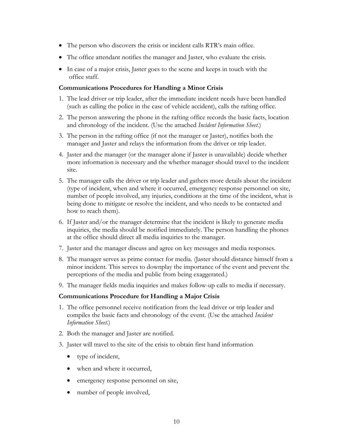- The person who discovers the crisis or incident calls RTR's main office.
- The office attendant notifies the manager and Jaster, who evaluate the crisis.
- In case of a major crisis, Jaster goes to the scene and keeps in touch with the office staff.

#### **Communications Procedures for Handling a Minor Crisis**

- 1. The lead driver or trip leader, after the immediate incident needs have been handled (such as calling the police in the case of vehicle accident), calls the rafting office.
- 2. The person answering the phone in the rafting office records the basic facts, location and chronology of the incident. (Use the attached *Incident Information Sheet*.)
- 3. The person in the rafting office (if not the manager or Jaster), notifies both the manager and Jaster and relays the information from the driver or trip leader.
- 4. Jaster and the manager (or the manager alone if Jaster is unavailable) decide whether more information is necessary and the whether manager should travel to the incident site.
- 5. The manager calls the driver or trip leader and gathers more details about the incident (type of incident, when and where it occurred, emergency response personnel on site, number of people involved, any injuries, conditions at the time of the incident, what is being done to mitigate or resolve the incident, and who needs to be contacted and how to reach them).
- 6. If Jaster and/or the manager determine that the incident is likely to generate media inquiries, the media should be notified immediately. The person handling the phones at the office should direct all media inquiries to the manager.
- 7. Jaster and the manager discuss and agree on key messages and media responses.
- 8. The manager serves as prime contact for media. (Jaster should distance himself from a minor incident. This serves to downplay the importance of the event and prevent the perceptions of the media and public from being exaggerated.)
- 9. The manager fields media inquiries and makes follow-up calls to media if necessary.

#### **Communications Procedure for Handling a Major Crisis**

- 1. The office personnel receive notification from the lead driver or trip leader and compiles the basic facts and chronology of the event. (Use the attached *Incident Information Sheet*.)
- 2. Both the manager and Jaster are notified.
- 3. Jaster will travel to the site of the crisis to obtain first hand information
	- type of incident,
	- when and where it occurred,
	- emergency response personnel on site,
	- number of people involved,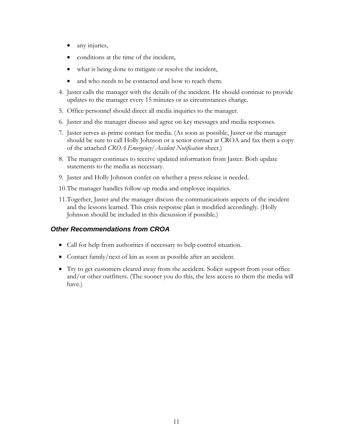- any injuries,
- conditions at the time of the incident,
- what is being done to mitigate or resolve the incident,
- and who needs to be contacted and how to reach them.
- 4. Jaster calls the manager with the details of the incident. He should continue to provide updates to the manager every 15 minutes or as circumstances change.
- 5. Office personnel should direct all media inquiries to the manager.
- 6. Jaster and the manager discuss and agree on key messages and media responses.
- 7. Jaster serves as prime contact for media. (As soon as possible, Jaster or the manager should be sure to call Holly Johnson or a senior contact at CROA and fax them a copy of the attached *CROA Emergency/Accident Notification* sheet.)
- 8. The manager continues to receive updated information from Jaster. Both update statements to the media as necessary.
- 9. Jaster and Holly Johnson confer on whether a press release is needed.
- 10.The manager handles follow-up media and employee inquiries.
- 11.Together, Jaster and the manager discuss the communications aspects of the incident and the lessons learned. This crisis response plan is modified accordingly. (Holly Johnson should be included in this dicsussion if possible.)

### *Other Recommendations from CROA*

- Call for help from authorities if necessary to help control situation.
- Contact family/next of kin as soon as possible after an accident.
- Try to get customers cleared away from the accident. Solicit support from your office and/or other outfitters. (The sooner you do this, the less access to them the media will have.)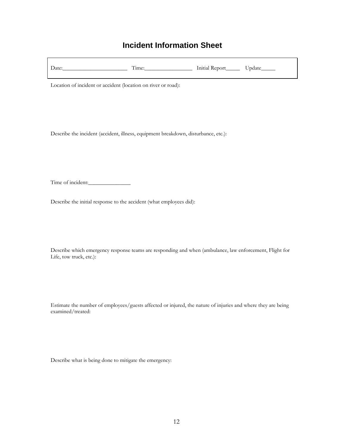## **Incident Information Sheet**

| Date: | . ime: | Initial Report | date lo |
|-------|--------|----------------|---------|
|       |        |                |         |

Location of incident or accident (location on river or road):

Describe the incident (accident, illness, equipment breakdown, disturbance, etc.):

Time of incident:\_\_\_\_\_\_\_\_\_\_\_\_\_\_\_

Describe the initial response to the accident (what employees did):

Describe which emergency response teams are responding and when (ambulance, law enforcement, Flight for Life, tow truck, etc.):

Estimate the number of employees/guests affected or injured, the nature of injuries and where they are being examined/treated:

Describe what is being done to mitigate the emergency: